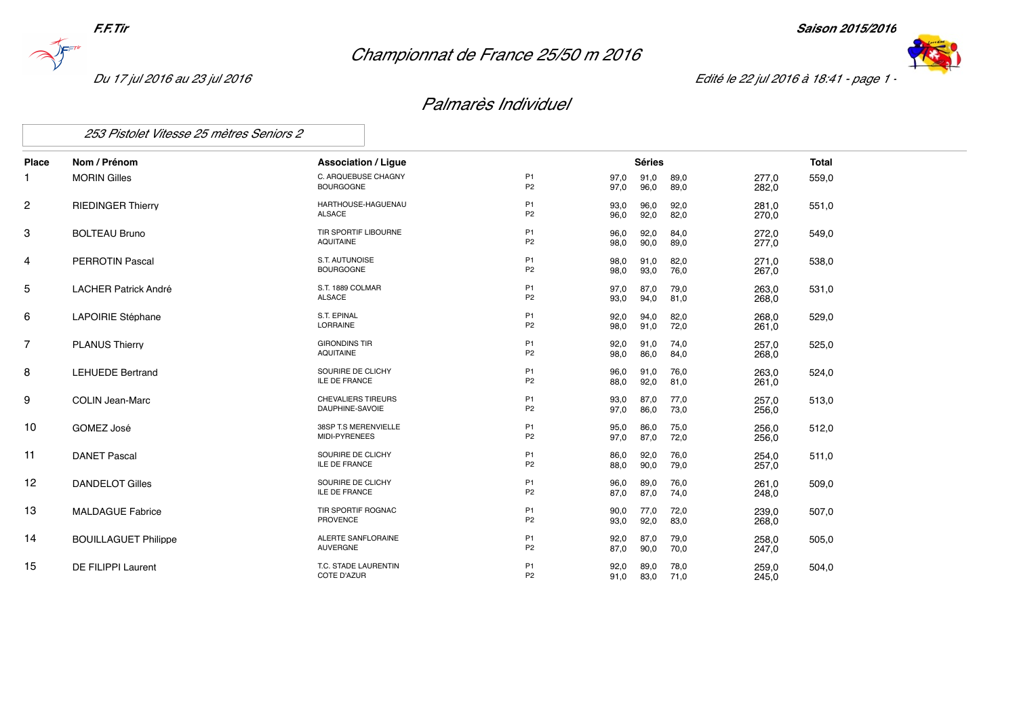*Championnat de France 25/50 m 2016*





*Du 17 jul 2016 au 23 jul 2016 Edité le 22 jul 2016 à 18:41 - page 1 -*

## *Palmarès Individuel*

*253 Pistolet Vitesse 25 mètres Seniors 2*

| <b>Place</b>   | Nom / Prénom                | <b>Association / Ligue</b>                 |                                  |              | <b>Séries</b> |              |                | <b>Total</b> |
|----------------|-----------------------------|--------------------------------------------|----------------------------------|--------------|---------------|--------------|----------------|--------------|
| 1              | <b>MORIN Gilles</b>         | C. ARQUEBUSE CHAGNY<br><b>BOURGOGNE</b>    | P <sub>1</sub><br>P <sub>2</sub> | 97,0<br>97,0 | 91,0<br>96,0  | 89,0<br>89,0 | 277,0<br>282,0 | 559,0        |
| 2              | <b>RIEDINGER Thierry</b>    | HARTHOUSE-HAGUENAU<br>ALSACE               | P <sub>1</sub><br>P <sub>2</sub> | 93,0<br>96,0 | 96,0<br>92,0  | 92,0<br>82,0 | 281,0<br>270,0 | 551,0        |
| 3              | <b>BOLTEAU Bruno</b>        | TIR SPORTIF LIBOURNE<br><b>AQUITAINE</b>   | P <sub>1</sub><br>P <sub>2</sub> | 96,0<br>98,0 | 92,0<br>90,0  | 84,0<br>89,0 | 272,0<br>277,0 | 549,0        |
| 4              | <b>PERROTIN Pascal</b>      | S.T. AUTUNOISE<br><b>BOURGOGNE</b>         | P <sub>1</sub><br>P <sub>2</sub> | 98,0<br>98,0 | 91,0<br>93,0  | 82,0<br>76,0 | 271,0<br>267,0 | 538,0        |
| 5              | <b>LACHER Patrick André</b> | S.T. 1889 COLMAR<br><b>ALSACE</b>          | P <sub>1</sub><br>P <sub>2</sub> | 97,0<br>93,0 | 87,0<br>94,0  | 79,0<br>81,0 | 263,0<br>268,0 | 531,0        |
| 6              | LAPOIRIE Stéphane           | S.T. EPINAL<br>LORRAINE                    | P <sub>1</sub><br>P <sub>2</sub> | 92,0<br>98,0 | 94,0<br>91,0  | 82,0<br>72,0 | 268,0<br>261,0 | 529,0        |
| $\overline{7}$ | <b>PLANUS Thierry</b>       | <b>GIRONDINS TIR</b><br><b>AQUITAINE</b>   | P <sub>1</sub><br>P <sub>2</sub> | 92,0<br>98,0 | 91,0<br>86,0  | 74,0<br>84,0 | 257,0<br>268,0 | 525,0        |
| 8              | <b>LEHUEDE Bertrand</b>     | SOURIRE DE CLICHY<br><b>ILE DE FRANCE</b>  | P <sub>1</sub><br>P <sub>2</sub> | 96,0<br>88,0 | 91,0<br>92,0  | 76,0<br>81,0 | 263,0<br>261,0 | 524,0        |
| 9              | <b>COLIN Jean-Marc</b>      | CHEVALIERS TIREURS<br>DAUPHINE-SAVOIE      | P <sub>1</sub><br>P <sub>2</sub> | 93,0<br>97,0 | 87,0<br>86,0  | 77,0<br>73,0 | 257,0<br>256,0 | 513,0        |
| 10             | GOMEZ José                  | 38SP T.S MERENVIELLE<br>MIDI-PYRENEES      | P <sub>1</sub><br>P <sub>2</sub> | 95,0<br>97,0 | 86,0<br>87,0  | 75,0<br>72,0 | 256,0<br>256,0 | 512,0        |
| 11             | <b>DANET Pascal</b>         | SOURIRE DE CLICHY<br><b>ILE DE FRANCE</b>  | P <sub>1</sub><br>P <sub>2</sub> | 86,0<br>88,0 | 92,0<br>90,0  | 76,0<br>79,0 | 254,0<br>257,0 | 511,0        |
| 12             | <b>DANDELOT Gilles</b>      | SOURIRE DE CLICHY<br>ILE DE FRANCE         | P <sub>1</sub><br>P <sub>2</sub> | 96,0<br>87,0 | 89,0<br>87,0  | 76,0<br>74,0 | 261,0<br>248,0 | 509,0        |
| 13             | <b>MALDAGUE Fabrice</b>     | TIR SPORTIF ROGNAC<br>PROVENCE             | P <sub>1</sub><br>P <sub>2</sub> | 90,0<br>93,0 | 77,0<br>92,0  | 72,0<br>83,0 | 239,0<br>268,0 | 507,0        |
| 14             | <b>BOUILLAGUET Philippe</b> | ALERTE SANFLORAINE<br>AUVERGNE             | P <sub>1</sub><br>P <sub>2</sub> | 92,0<br>87,0 | 87,0<br>90,0  | 79,0<br>70,0 | 258,0<br>247,0 | 505,0        |
| 15             | DE FILIPPI Laurent          | T.C. STADE LAURENTIN<br><b>COTE D'AZUR</b> | P <sub>1</sub><br>P <sub>2</sub> | 92,0<br>91,0 | 89,0<br>83,0  | 78,0<br>71,0 | 259,0<br>245,0 | 504,0        |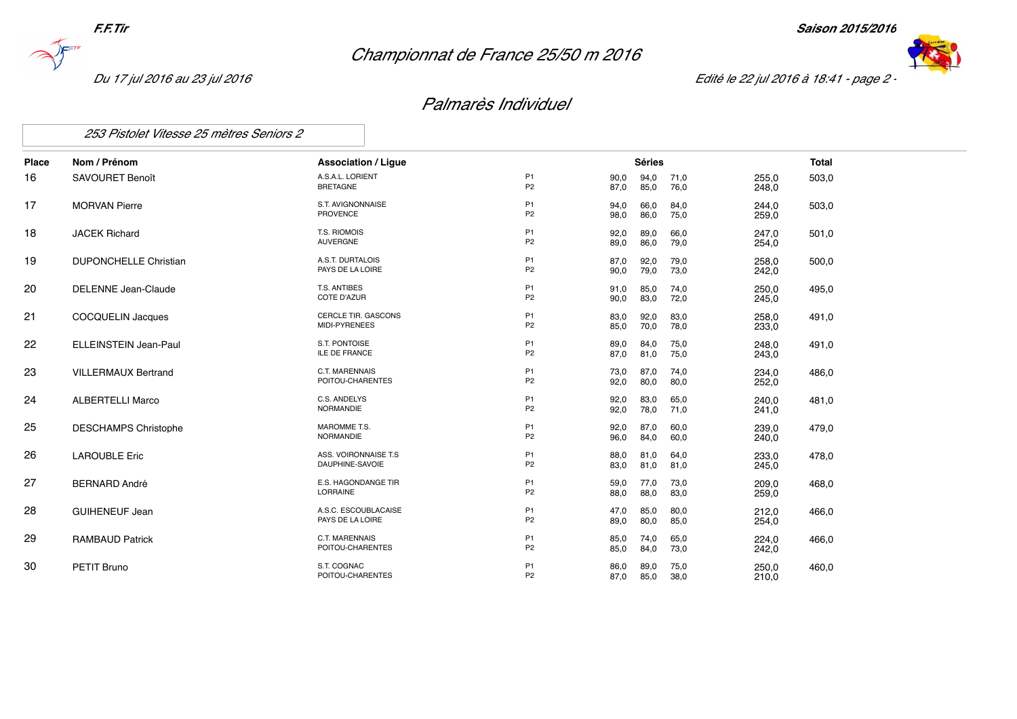*Championnat de France 25/50 m 2016*





*Du 17 jul 2016 au 23 jul 2016 Edité le 22 jul 2016 à 18:41 - page 2 -*

## *Palmarès Individuel*

*253 Pistolet Vitesse 25 mètres Seniors 2*

| Place | Nom / Prénom                 | <b>Association / Ligue</b>                |                                  |              | <b>Séries</b> |              |                | <b>Total</b> |
|-------|------------------------------|-------------------------------------------|----------------------------------|--------------|---------------|--------------|----------------|--------------|
| 16    | SAVOURET Benoît              | A.S.A.L. LORIENT<br><b>BRETAGNE</b>       | P <sub>1</sub><br>P <sub>2</sub> | 90,0<br>87,0 | 94,0<br>85,0  | 71,0<br>76,0 | 255,0<br>248,0 | 503,0        |
| 17    | <b>MORVAN Pierre</b>         | S.T. AVIGNONNAISE<br>PROVENCE             | P <sub>1</sub><br>P <sub>2</sub> | 94,0<br>98,0 | 66,0<br>86,0  | 84,0<br>75,0 | 244,0<br>259.0 | 503,0        |
| 18    | <b>JACEK Richard</b>         | T.S. RIOMOIS<br>AUVERGNE                  | P <sub>1</sub><br>P <sub>2</sub> | 92,0<br>89,0 | 89,0<br>86,0  | 66,0<br>79,0 | 247,0<br>254.0 | 501,0        |
| 19    | <b>DUPONCHELLE Christian</b> | A.S.T. DURTALOIS<br>PAYS DE LA LOIRE      | P <sub>1</sub><br>P <sub>2</sub> | 87,0<br>90,0 | 92,0<br>79,0  | 79,0<br>73,0 | 258,0<br>242,0 | 500,0        |
| 20    | DELENNE Jean-Claude          | T.S. ANTIBES<br><b>COTE D'AZUR</b>        | P <sub>1</sub><br>P <sub>2</sub> | 91,0<br>90,0 | 85,0<br>83,0  | 74,0<br>72,0 | 250,0<br>245,0 | 495,0        |
| 21    | COCQUELIN Jacques            | CERCLE TIR. GASCONS<br>MIDI-PYRENEES      | P <sub>1</sub><br>P <sub>2</sub> | 83,0<br>85,0 | 92,0<br>70,0  | 83,0<br>78,0 | 258,0<br>233,0 | 491,0        |
| 22    | <b>ELLEINSTEIN Jean-Paul</b> | S.T. PONTOISE<br><b>ILE DE FRANCE</b>     | P <sub>1</sub><br>P <sub>2</sub> | 89,0<br>87,0 | 84,0<br>81,0  | 75,0<br>75,0 | 248.0<br>243,0 | 491,0        |
| 23    | <b>VILLERMAUX Bertrand</b>   | <b>C.T. MARENNAIS</b><br>POITOU-CHARENTES | P <sub>1</sub><br>P <sub>2</sub> | 73,0<br>92,0 | 87,0<br>80,0  | 74,0<br>80,0 | 234,0<br>252,0 | 486,0        |
| 24    | <b>ALBERTELLI Marco</b>      | C.S. ANDELYS<br>NORMANDIE                 | P <sub>1</sub><br>P <sub>2</sub> | 92,0<br>92,0 | 83,0<br>78,0  | 65,0<br>71,0 | 240,0<br>241,0 | 481,0        |
| 25    | <b>DESCHAMPS Christophe</b>  | MAROMME T.S.<br>NORMANDIE                 | P <sub>1</sub><br>P <sub>2</sub> | 92,0<br>96,0 | 87,0<br>84,0  | 60,0<br>60,0 | 239,0<br>240,0 | 479,0        |
| 26    | <b>LAROUBLE Eric</b>         | ASS. VOIRONNAISE T.S<br>DAUPHINE-SAVOIE   | P <sub>1</sub><br>P <sub>2</sub> | 88,0<br>83,0 | 81,0<br>81,0  | 64,0<br>81,0 | 233,0<br>245,0 | 478,0        |
| 27    | <b>BERNARD André</b>         | E.S. HAGONDANGE TIR<br>LORRAINE           | P <sub>1</sub><br>P <sub>2</sub> | 59,0<br>88,0 | 77,0<br>88,0  | 73,0<br>83,0 | 209.0<br>259,0 | 468,0        |
| 28    | <b>GUIHENEUF Jean</b>        | A.S.C. ESCOUBLACAISE<br>PAYS DE LA LOIRE  | P <sub>1</sub><br>P <sub>2</sub> | 47,0<br>89,0 | 85,0<br>80,0  | 80,0<br>85,0 | 212,0<br>254,0 | 466.0        |
| 29    | <b>RAMBAUD Patrick</b>       | C.T. MARENNAIS<br>POITOU-CHARENTES        | P <sub>1</sub><br>P <sub>2</sub> | 85,0<br>85,0 | 74,0<br>84,0  | 65,0<br>73,0 | 224,0<br>242,0 | 466,0        |
| 30    | <b>PETIT Bruno</b>           | S.T. COGNAC<br>POITOU-CHARENTES           | P <sub>1</sub><br>P <sub>2</sub> | 86,0<br>87,0 | 89,0<br>85,0  | 75,0<br>38,0 | 250,0<br>210,0 | 460,0        |